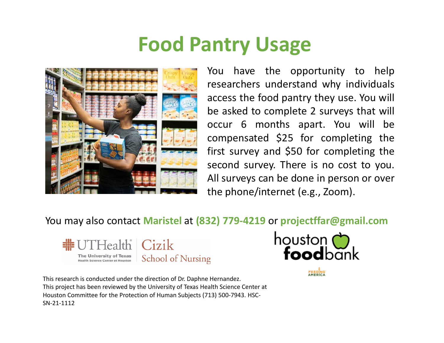## **Food Pantry Usage**



You have the opportunity to help researchers understand why individuals access the food pantry they use. You will be asked to complete 2 surveys that will occur 6 months apart. You will be compensated \$25 for completing the first survey and \$50 for completing the second survey. There is no cost to you. All surveys can be done in person or over the phone/internet (e.g., Zoom).

## You may also contact **Maristel** at **(832) 779‐4219** or **projectffar@gmail.com**





This research is conducted under the direction of Dr. Daphne Hernandez. This project has been reviewed by the University of Texas Health Science Center at Houston Committee for the Protection of Human Subjects (713) 500‐7943. HSC‐ SN‐21‐1112